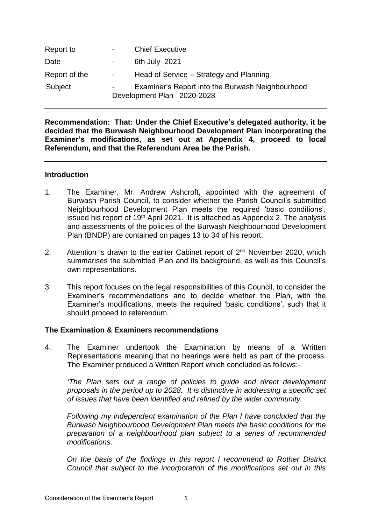| Report to     | $\sim 100$       | <b>Chief Executive</b>                                                         |
|---------------|------------------|--------------------------------------------------------------------------------|
| Date          | $\sim$ 100 $\mu$ | 6th July 2021                                                                  |
| Report of the | $\sim 100$       | Head of Service – Strategy and Planning                                        |
| Subject       | $\sim 100$       | Examiner's Report into the Burwash Neighbourhood<br>Development Plan 2020-2028 |

**Recommendation: That: Under the Chief Executive's delegated authority, it be decided that the Burwash Neighbourhood Development Plan incorporating the Examiner's modifications, as set out at Appendix 4, proceed to local Referendum, and that the Referendum Area be the Parish.**

## **Introduction**

- 1. The Examiner, Mr. Andrew Ashcroft, appointed with the agreement of Burwash Parish Council, to consider whether the Parish Council's submitted Neighbourhood Development Plan meets the required 'basic conditions', issued his report of 19<sup>th</sup> April 2021. It is attached as Appendix 2. The analysis and assessments of the policies of the Burwash Neighbourhood Development Plan (BNDP) are contained on pages 13 to 34 of his report.
- 2. Attention is drawn to the earlier Cabinet report of  $2^{nd}$  November 2020, which summarises the submitted Plan and its background, as well as this Council's own representations.
- 3. This report focuses on the legal responsibilities of this Council, to consider the Examiner's recommendations and to decide whether the Plan, with the Examiner's modifications, meets the required 'basic conditions', such that it should proceed to referendum.

## **The Examination & Examiners recommendations**

4. The Examiner undertook the Examination by means of a Written Representations meaning that no hearings were held as part of the process. The Examiner produced a Written Report which concluded as follows:-

*'The Plan sets out a range of policies to guide and direct development proposals in the period up to 2028. It is distinctive in addressing a specific set of issues that have been identified and refined by the wider community.* 

*Following my independent examination of the Plan I have concluded that the Burwash Neighbourhood Development Plan meets the basic conditions for the preparation of a neighbourhood plan subject to a series of recommended modifications.*

*On the basis of the findings in this report I recommend to Rother District Council that subject to the incorporation of the modifications set out in this*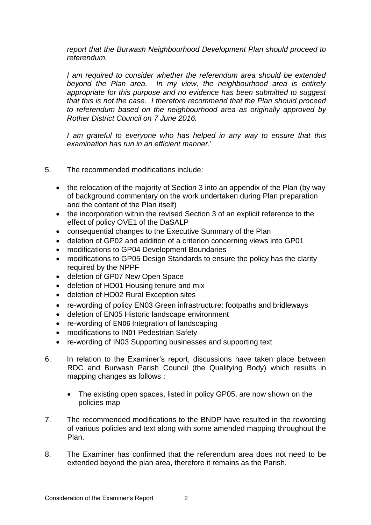*report that the Burwash Neighbourhood Development Plan should proceed to referendum.*

*I am required to consider whether the referendum area should be extended beyond the Plan area. In my view, the neighbourhood area is entirely appropriate for this purpose and no evidence has been submitted to suggest that this is not the case. I therefore recommend that the Plan should proceed to referendum based on the neighbourhood area as originally approved by Rother District Council on 7 June 2016.* 

*I am grateful to everyone who has helped in any way to ensure that this examination has run in an efficient manner.*'

- 5. The recommended modifications include:
	- the relocation of the majority of Section 3 into an appendix of the Plan (by way of background commentary on the work undertaken during Plan preparation and the content of the Plan itself)
	- the incorporation within the revised Section 3 of an explicit reference to the effect of policy OVE1 of the DaSALP
	- consequential changes to the Executive Summary of the Plan
	- deletion of GP02 and addition of a criterion concerning views into GP01
	- modifications to GP04 Development Boundaries
	- modifications to GP05 Design Standards to ensure the policy has the clarity required by the NPPF
	- deletion of GP07 New Open Space
	- deletion of HO01 Housing tenure and mix
	- deletion of HO02 Rural Exception sites
	- re-wording of policy EN03 Green infrastructure: footpaths and bridleways
	- deletion of EN05 Historic landscape environment
	- re-wording of EN06 Integration of landscaping
	- modifications to IN01 Pedestrian Safety
	- re-wording of IN03 Supporting businesses and supporting text
- 6. In relation to the Examiner's report, discussions have taken place between RDC and Burwash Parish Council (the Qualifying Body) which results in mapping changes as follows :
	- The existing open spaces, listed in policy GP05, are now shown on the policies map
- 7. The recommended modifications to the BNDP have resulted in the rewording of various policies and text along with some amended mapping throughout the Plan.
- 8. The Examiner has confirmed that the referendum area does not need to be extended beyond the plan area, therefore it remains as the Parish.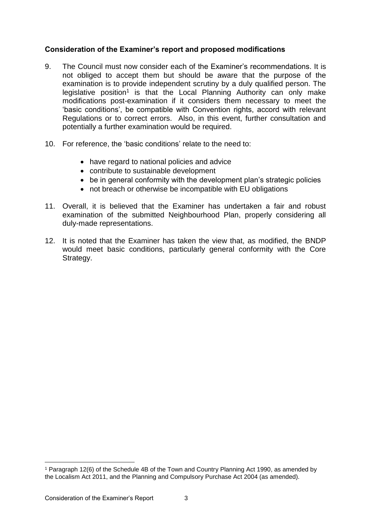# **Consideration of the Examiner's report and proposed modifications**

- 9. The Council must now consider each of the Examiner's recommendations. It is not obliged to accept them but should be aware that the purpose of the examination is to provide independent scrutiny by a duly qualified person. The legislative position<sup>1</sup> is that the Local Planning Authority can only make modifications post-examination if it considers them necessary to meet the 'basic conditions', be compatible with Convention rights, accord with relevant Regulations or to correct errors. Also, in this event, further consultation and potentially a further examination would be required.
- 10. For reference, the 'basic conditions' relate to the need to:
	- have regard to national policies and advice
	- contribute to sustainable development
	- be in general conformity with the development plan's strategic policies
	- not breach or otherwise be incompatible with EU obligations
- 11. Overall, it is believed that the Examiner has undertaken a fair and robust examination of the submitted Neighbourhood Plan, properly considering all duly-made representations.
- 12. It is noted that the Examiner has taken the view that, as modified, the BNDP would meet basic conditions, particularly general conformity with the Core Strategy.

-

<sup>1</sup> Paragraph 12(6) of the Schedule 4B of the Town and Country Planning Act 1990, as amended by the Localism Act 2011, and the Planning and Compulsory Purchase Act 2004 (as amended).